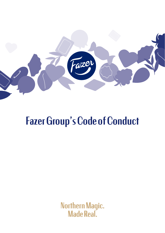

# Fazer Group's Code of Conduct

Northern Magic. **Made Real.**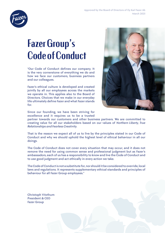

## Fazer Group's Code of Conduct

"Our Code of Conduct defines our company. It is the very cornerstone of everything we do and how we face our customers, business partners and our colleagues.

Fazer's ethical culture is developed and created jointly by all our employees across the markets we operate in. This applies also to the Board of Directors. Choices that we make in our everyday life ultimately define Fazer and what Fazer stands for.



Since our founding, we have been striving for excellence and it requires us to be a trusted

partner towards our customers and other business partners. We are committed to creating value for all our stakeholders based on our values of *Northern Liberty, True Relationships and Fearless Creativity.*

That is the reason we expect all of us to live by the principles stated in our Code of Conduct and why we should uphold the highest level of ethical behaviour in all our doings.

The Code of Conduct does not cover every situation that may occur, and it does not remove the need for using common sense and professional judgment but as Fazer's ambassadors, each of us has a responsibility to know and live the Code of Conduct and to use good judgment and act ethically in every action we take.

The Code of Conduct is not a substitute for, nor should it be considered to override, local laws and regulations. It represents supplementary ethical standards and principles of behaviour for all Fazer Group employees."

Christoph Vitzthum President & CEO Fazer Group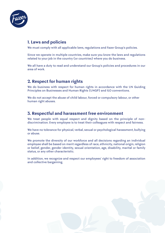

### 1. Laws and policies

We must comply with all applicable laws, regulations and Fazer Group's policies.

Since we operate in multiple countries, make sure you know the laws and regulations related to your job in the country (or countries) where you do business.

We all have a duty to read and understand our Group's policies and procedures in our area of work.

### 2. Respect for human rights

We do business with respect for human rights in accordance with the UN Guiding Principles on Businesses and Human Rights (UNGP) and ILO conventions.

We do not accept the abuse of child labour, forced or compulsory labour, or other human right abuses.

### 3. Respectful and harassment free environment

We treat people with equal respect and dignity based on the principle of nondiscrimination. Every employee is to treat their colleagues with respect and fairness.

We have no tolerance for physical, verbal, sexual or psychological harassment, bullying or abuse.

We promote the diversity of our workforce and all decisions regarding an individual employee shall be based on merit regardless of race, ethnicity, national origin, religion or belief, gender, gender identity, sexual orientation, age, disability, marital or family status, or any other characteristic.

In addition, we recognize and respect our employees' right to freedom of association and collective bargaining.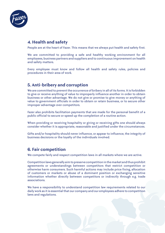

### 4. Health and safety

People are at the heart of Fazer. This means that we always put health and safety first.

We are committed to providing a safe and healthy working environment for all employees, business partners and suppliers and to continuous improvement on health and safety matters.

Every employee must know and follow all health and safety rules, policies and procedures in their area of work.

### 5. Anti-bribery and corruption

We are committed to prevent the occurrence of bribery in all of its forms. It is forbidden to give or receive anything of value to improperly influence another in order to obtain business or other advantage. We do not give or promise to give money or anything of value to government officials in order to obtain or retain business, or to secure other improper advantage over competitors.

Fazer also prohibits facilitation payments that are made for the personal benefit of a public official to secure or speed up the completion of a routine action.

When providing or receiving hospitality or giving or receiving gifts one should always consider whether it is appropriate, reasonable and justified under the circumstances.

Gifts and/or hospitality should never influence, or appear to influence, the integrity of business decisions or the loyalty of the individuals involved.

### 6. Fair competition

We compete fairly and respect competition laws in all markets where we are active.

Competition laws generally aim to preserve competition in the market and thus prohibit agreements or understandings between competitors that restrict competition or otherwise harm consumers. Such harmful actions may include price fixing, allocation of customers or markets or abuse of a dominant position or exchanging sensitive information whether directly between competitors or indirectly through e.g. trade associations.

We have a responsibility to understand competition law requirements related to our daily work as it is essential that our company and our employees adhere to competition laws and regulations.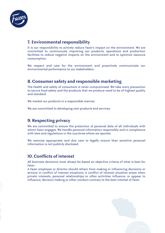

### 7. Environmental responsibility

It is our responsibility to actively reduce Fazer's impact on the environment. We are committed to continuously improving our products, operations and production facilities to reduce negative impacts on the environment and to optimize resource consumption.

We respect and care for the environment and proactively communicate our environmental performance to our stakeholders.

### 8. Consumer safety and responsible marketing

The health and safety of consumers is never compromised. We take every precaution to secure food safety and the products that we produce need to be of highest quality and standard.

We market our products in a responsible manner.

We are committed to developing new products and services.

### 9. Respecting privacy

We are committed to ensure the protection of personal data of all individuals with whom Fazer engages. We handle personal information responsibly and in compliance with laws and regulations in the countries where we operate.

We exercise appropriate and due care to legally ensure than sensitive personal information is not publicly disclosed.

### 10. Conflicts of interest

All business decisions must always be based on objective criteria of what is best for Fazer.

A Fazer employee or director should refrain from making or influencing decisions or actions in conflict of interest situations. A conflict of interest situation arises when private interests, personal relationships or other activities influence, or appear to influence, decision making or other conduct contrary to the best interest of Fazer.

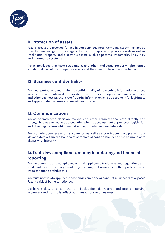

### 11. Protection of assets

Fazer's assets are reserved for use in company business. Company assets may not be used for personal gain or for illegal activities. This applies to physical assets as well as intellectual property and electronic assets, such as patents, trademarks, know-how and information systems.

We acknowledge that Fazer's trademarks and other intellectual property rights form a substantial part of the company's assets and they need to be actively protected.

### 12. Business confidentiality

We must protect and maintain the confidentiality of non-public information we have access to in our daily work or provided to us by our employees, customers, suppliers and other business partners. Confidential information is to be used only for legitimate and appropriate purposes and we will not misuse it.

### 13. Communications

We co-operate with decision makers and other organisations, both directly and through bodies such as trade associations, in the development of proposed legislation and other regulations which may affect legitimate business interests.

We promote openness and transparency, as well as a continuous dialogue with our stakeholders within the bounds of commercial confidentiality and we communicate always with integrity.

### 14.Trade law compliance, money laundering and financial reporting

We are committed to compliance with all applicable trade laws and regulations and we do not facilitate money laundering or engage in business with third parties in case trade sanctions prohibit this.

We must not violate applicable economic sanctions or conduct business that exposes Fazer to risk of being sanctioned.

We have a duty to ensure that our books, financial records and public reporting accurately and truthfully reflect our transactions and business.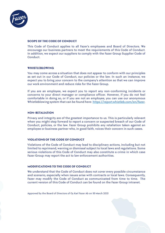

#### **SCOPE OF THE CODE OF CONDUCT**

This Code of Conduct applies to all Fazer's employees and Board of Directors. We encourage our business partners to meet the requirements of this Code of Conduct. In addition, we expect our suppliers to comply with the Fazer Group Supplier Code of Conduct.

#### **WHISTLEBLOWING**

You may come across a situation that does not appear to conform with our principles as set out in our Code of Conduct, our policies or the law. In such an instance, we expect you to bring your concern to the company's attention so that we can improve our work environment and reduce risks for the Fazer Group.

If you are an employee, we expect you to report any non-conforming incidents or concerns to your direct manager or compliance officer. However, if you do not feel comfortable in doing so, or if you are not an employee, you can use our anonymous Whistleblowing system that can be found here: https://report.whistleb.com/en/fazer.

#### **NON-RETALIATION**

Privacy and integrity are of the greatest importance to us. This is particularly relevant when you might step forward to report a concern or suspected breach of our Code of Conduct, policies, or the law. Fazer Group prohibits any retaliation taken against an employee or business partner who, in good faith, voices their concern in such cases.

#### **VIOLATIONS OF THE CODE OF CONDUCT**

Violations of the Code of Conduct may lead to disciplinary actions, including but not limited to reprimand, warning or dismissal subject to local laws and regulations. Some serious violations of this Code of Conduct may also constitute a crime in which case Fazer Group may report the act to law enforcement authorities.

#### **MODIFICATIONS TO THE CODE OF CONDUCT**

We understand that the Code of Conduct does not cover every possible circumstance and scenario, especially when issues arise with contracts or local laws. Consequently, Fazer may modify the Code of Conduct as communicated from time to time. The current version of this Code of Conduct can be found on the Fazer Group intranet.

Approved by the Board of Directors of Oy Karl Fazer Ab on 18 March 2021

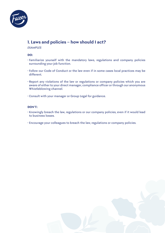

### 1. Laws and policies – how should I act?

#### *EXAMPLES*

### **DO:**

- Familiarize yourself with the mandatory laws, regulations and company policies surrounding your job function.
- Follow our Code of Conduct or the law even if in some cases local practices may be different.
- Report any violations of the law or regulations or company policies which you are aware of either to your direct manager, compliance officer or through our anonymous Whistleblowing channel.
- Consult with your manager or Group Legal for guidance.

- Knowingly breach the law, regulations or our company policies, even if it would lead to business losses.
- Encourage your colleagues to breach the law, regulations or company policies.

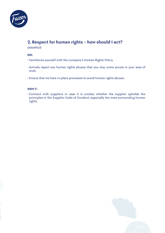

### 2. Respect for human rights – how should I act?

*EXAMPLES*

### **DO:**

- Familiarize yourself with the company's Human Rights Policy.
- Actively report any human rights abuses that you may come across in your area of work.
- Ensure that we have in place processes to avoid human rights abuses.

### **DON'T:**

• Contract with suppliers in case it is unclear whether the supplier upholds the principles in the Supplier Code of Conduct, especially the ones surrounding human rights.

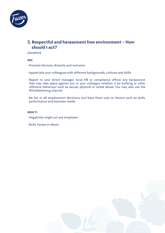

### 3. Respectful and harassment free environment – How should I act?

*EXAMPLES*

**DO:**

- Promote fairness, diversity and inclusion.
- Appreciate your colleagues with different backgrounds, cultures and skills.
- Report to your direct manager, local HR or compliance officer any harassment that may take place against you or your colleague whether it be bullying or other offensive behaviour such as sexual, physical or verbal abuse. You may also use the Whistleblowing channel.
- Be fair in all employment decisions and base them only on factors such as skills, performance and business needs.

- Negatively single out any employee.
- Bully, harass or abuse.

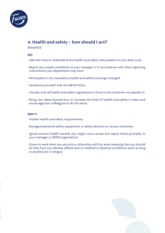

### 4. Health and safety – how should I act?

### *EXAMPLES*

### **DO:**

- Take the time to understand the health and safety risks present in your daily work.
- Report any unsafe conditions to your manager or in accordance with other reporting instructions your department may have.
- Participate in any mandatory health and safety trainings arranged.
- Familiarize yourself with the QEHS Policy.
- Comply with all health and safety regulations in force in the countries we operate in.
- Bring new ideas forward how to increase the level of health and safety in Fazer and encourage your colleagues to do the same.

- Violate health and safety requirements.
- Disregard personal safety equipment or safety devices on various machines.
- Ignore serious health hazards you might come across but report these promptly to your manager or QEHS organisation.
- Come to work when you are sick or otherwise unfit for work meaning that you should be free from any adverse effects due to medical or physical conditions such as drug or alcohol use or fatigue.

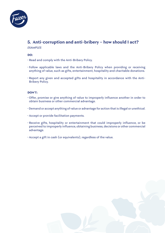

## 5. Anti-corruption and anti-bribery – how should I act?

### *EXAMPLES*

#### **DO:**

- Read and comply with the Anti-Bribery Policy.
- Follow applicable laws and the Anti-Bribery Policy when providing or receiving anything of value, such as gifts, entertainment, hospitality and charitable donations.
- Report any given and accepted gifts and hospitality in accordance with the Anti-Bribery Policy.

- Offer, promise or give anything of value to improperly influence another in order to obtain business or other commercial advantage.
- Demand or accept anything of value or advantage for action that is illegal or unethical.
- Accept or provide facilitation payments.
- Receive gifts, hospitality or entertainment that could improperly influence, or be perceived to improperly influence, obtaining business, decisions or other commercial advantage.
- Accept a gift in cash (or equivalents), regardless of the value.

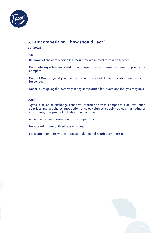

### 6. Fair competition – how should I act?

#### *EXAMPLES*

#### **DO:**

- Be aware of the competition law requirements related to your daily work.
- Complete any e-learnings and other competition law trainings offered to you by the company.
- Contact Group Legal if you become aware or suspect that competition law has been breached.
- Consult Group Legal proactively in any competition law questions that you may have.

- Agree, discuss or exchange sensitive information with competitors of Fazer such as prices, market shares, production or sales volumes, supply sources, marketing or advertising, new products, strategies or customers.
- Accept sensitive information from competitors.
- Impose minimum or fixed resale prices.
- Make arrangements with competitors that could restrict competition.

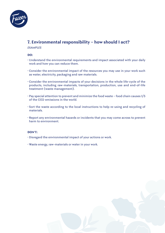

### 7. Environmental responsibility – how should I act?

#### *EXAMPLES*

#### **DO:**

- Understand the environmental requirements and impact associated with your daily work and how you can reduce them.
- Consider the environmental impact of the resources you may use in your work such as water, electricity, packaging and raw materials.
- Consider the environmental impacts of your decisions in the whole life-cycle of the products, including raw-materials, transportation, production, use and end-of-life treatment (waste management).
- Pay special attention to prevent and minimize the food waste food chain causes 1/3 of the CO2-emissions in the world.
- Sort the waste according to the local instructions to help re-using and recycling of materials.
- Report any environmental hazards or incidents that you may come across to prevent harm to environment.

- Disregard the environmental impact of your actions or work.
- Waste energy, raw-materials or water in your work.

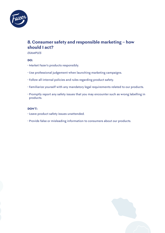

### 8. Consumer safety and responsible marketing – how should I act?

*EXAMPLES*

### **DO:**

- Market Fazer's products responsibly.
- Use professional judgement when launching marketing campaigns.
- Follow all internal policies and rules regarding product safety.
- Familiarize yourself with any mandatory legal requirements related to our products.
- Promptly report any safety issues that you may encounter such as wrong labelling in products.

- Leave product safety issues unattended.
- Provide false or misleading information to consumers about our products.

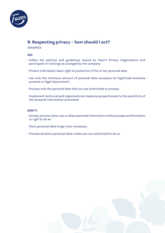

### 9. Respecting privacy – how should I act?

#### *EXAMPLES*

#### **DO:**

- Follow the policies and guidelines issued by Fazer's Privacy Organisation and participate in trainings as arranged by the company.
- Protect individual's basic right to protection of his or her personal data.
- Use only the minimum amount of personal data necessary for legitimate business purpose or legal requirement.
- Process only the personal data that you are authorized to process.
- Implement technical and organizational measures proportionate to the sensitivity of the personal information processed.

- Access, process, store, use, or share personal information without proper authorization or right to do so.
- Store personal data longer than necessary.
- Process sensitive personal data unless you are authorized to do so.

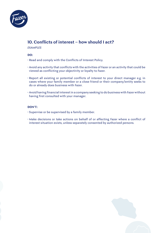

### 10. Conflicts of interest – how should I act?

*EXAMPLES*

### **DO:**

- Read and comply with the Conflicts of Interest Policy.
- Avoid any activity that conflicts with the activities of Fazer or an activity that could be viewed as conflicting your objectivity or loyalty to Fazer.
- Report all existing or potential conflicts of interest to your direct manager e.g. in cases where your family member or a close friend or their company/entity seeks to do or already does business with Fazer.
- Avoid having financial interest in a company seeking to do business with Fazer without having first consulted with your manager.

- Supervise or be supervised by a family member.
- Make decisions or take actions on behalf of or affecting Fazer where a conflict of interest situation exists, unless separately consented by authorized persons.

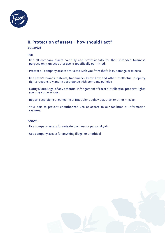

### 11. Protection of assets – how should I act?

#### *EXAMPLES*

#### **DO:**

- Use all company assets carefully and professionally for their intended business purpose only, unless other use is specifically permitted.
- Protect all company assets entrusted with you from theft, loss, damage or misuse.
- Use Fazer's brands, patents, trademarks, know-how and other intellectual property rights responsibly and in accordance with company policies.
- Notify Group Legal of any potential infringement of Fazer's intellectual property rights you may come across.
- Report suspicions or concerns of fraudulent behaviour, theft or other misuse.
- Your part to prevent unauthorized use or access to our facilities or information systems.

- Use company assets for outside business or personal gain.
- Use company assets for anything illegal or unethical.

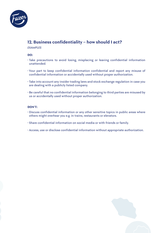

### 12. Business confidentiality – how should I act?

#### *EXAMPLES*

#### **DO:**

- Take precautions to avoid losing, misplacing or leaving confidential information unattended.
- Your part to keep confidential information confidential and report any misuse of confidential information or accidentally used without proper authorization.
- Take into account any insider trading laws and stock exchange regulation in case you are dealing with a publicly listed company.
- Be careful that no confidential information belonging to third parties are misused by us or accidentally used without proper authorization.

- Discuss confidential information or any other sensitive topics in public areas where others might overhear you e.g. in trains, restaurants or elevators.
- Share confidential information on social media or with friends or family.
- Access, use or disclose confidential information without appropriate authorization.

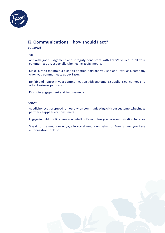

### 13. Communications – how should I act?

#### *EXAMPLES*

### **DO:**

- Act with good judgement and integrity consistent with Fazer's values in all your communication, especially when using social media.
- Make sure to maintain a clear distinction between yourself and Fazer as a company when you communicate about Fazer.
- Be fair and honest in your communication with customers, suppliers, consumers and other business partners.
- Promote engagement and transparency.

- Act dishonestly or spread rumours when communicating with our customers, business partners, suppliers or consumers.
- Engage in public policy issues on behalf of Fazer unless you have authorization to do so.
- Speak to the media or engage in social media on behalf of Fazer unless you have authorization to do so.